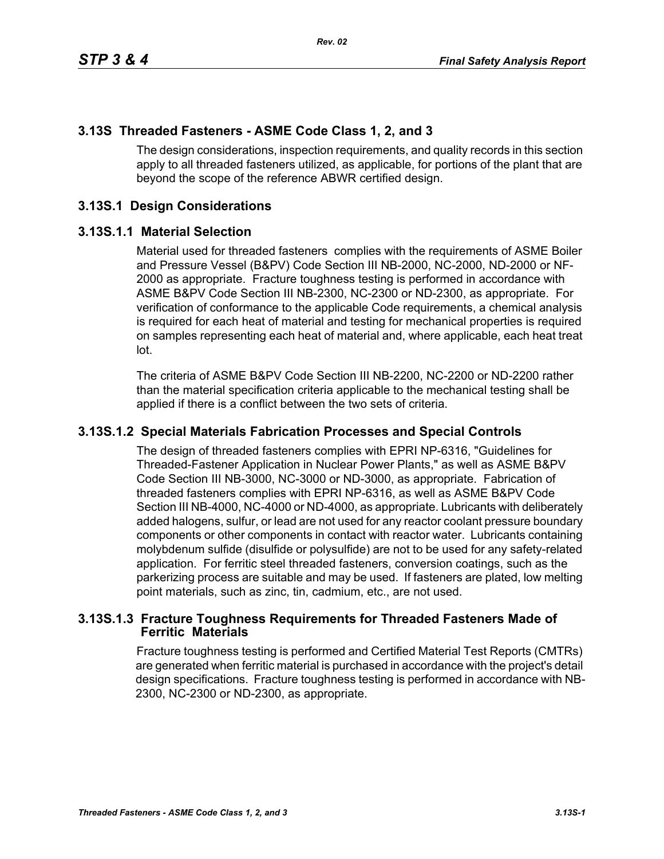## **3.13S Threaded Fasteners - ASME Code Class 1, 2, and 3**

The design considerations, inspection requirements, and quality records in this section apply to all threaded fasteners utilized, as applicable, for portions of the plant that are beyond the scope of the reference ABWR certified design.

## **3.13S.1 Design Considerations**

#### **3.13S.1.1 Material Selection**

Material used for threaded fasteners complies with the requirements of ASME Boiler and Pressure Vessel (B&PV) Code Section III NB-2000, NC-2000, ND-2000 or NF-2000 as appropriate. Fracture toughness testing is performed in accordance with ASME B&PV Code Section III NB-2300, NC-2300 or ND-2300, as appropriate. For verification of conformance to the applicable Code requirements, a chemical analysis is required for each heat of material and testing for mechanical properties is required on samples representing each heat of material and, where applicable, each heat treat lot.

The criteria of ASME B&PV Code Section III NB-2200, NC-2200 or ND-2200 rather than the material specification criteria applicable to the mechanical testing shall be applied if there is a conflict between the two sets of criteria.

### **3.13S.1.2 Special Materials Fabrication Processes and Special Controls**

The design of threaded fasteners complies with EPRI NP-6316, "Guidelines for Threaded-Fastener Application in Nuclear Power Plants," as well as ASME B&PV Code Section III NB-3000, NC-3000 or ND-3000, as appropriate. Fabrication of threaded fasteners complies with EPRI NP-6316, as well as ASME B&PV Code Section III NB-4000, NC-4000 or ND-4000, as appropriate. Lubricants with deliberately added halogens, sulfur, or lead are not used for any reactor coolant pressure boundary components or other components in contact with reactor water. Lubricants containing molybdenum sulfide (disulfide or polysulfide) are not to be used for any safety-related application. For ferritic steel threaded fasteners, conversion coatings, such as the parkerizing process are suitable and may be used. If fasteners are plated, low melting point materials, such as zinc, tin, cadmium, etc., are not used.

### **3.13S.1.3 Fracture Toughness Requirements for Threaded Fasteners Made of Ferritic Materials**

Fracture toughness testing is performed and Certified Material Test Reports (CMTRs) are generated when ferritic material is purchased in accordance with the project's detail design specifications. Fracture toughness testing is performed in accordance with NB-2300, NC-2300 or ND-2300, as appropriate.